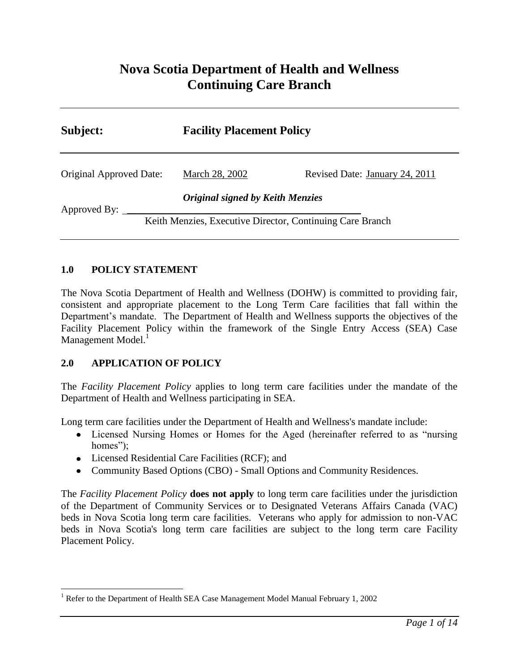# **Nova Scotia Department of Health and Wellness Continuing Care Branch**

| Subject:                | <b>Facility Placement Policy</b>                          |                                |
|-------------------------|-----------------------------------------------------------|--------------------------------|
| Original Approved Date: | March 28, 2002                                            | Revised Date: January 24, 2011 |
| Approved By:            | <b>Original signed by Keith Menzies</b>                   |                                |
|                         | Keith Menzies, Executive Director, Continuing Care Branch |                                |

### **1.0 POLICY STATEMENT**

The Nova Scotia Department of Health and Wellness (DOHW) is committed to providing fair, consistent and appropriate placement to the Long Term Care facilities that fall within the Department's mandate. The Department of Health and Wellness supports the objectives of the Facility Placement Policy within the framework of the Single Entry Access (SEA) Case Management Model.<sup>1</sup>

### **2.0 APPLICATION OF POLICY**

 $\overline{a}$ 

The *Facility Placement Policy* applies to long term care facilities under the mandate of the Department of Health and Wellness participating in SEA.

Long term care facilities under the Department of Health and Wellness's mandate include:

- Licensed Nursing Homes or Homes for the Aged (hereinafter referred to as "nursing homes");
- Licensed Residential Care Facilities (RCF); and
- Community Based Options (CBO) Small Options and Community Residences.

The *Facility Placement Policy* **does not apply** to long term care facilities under the jurisdiction of the Department of Community Services or to Designated Veterans Affairs Canada (VAC) beds in Nova Scotia long term care facilities. Veterans who apply for admission to non-VAC beds in Nova Scotia's long term care facilities are subject to the long term care Facility Placement Policy.

<sup>1</sup> Refer to the Department of Health SEA Case Management Model Manual February 1, 2002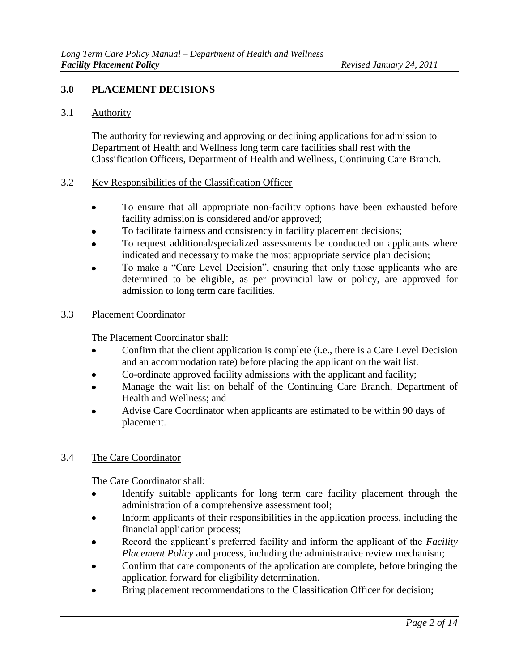### **3.0 PLACEMENT DECISIONS**

### 3.1 Authority

The authority for reviewing and approving or declining applications for admission to Department of Health and Wellness long term care facilities shall rest with the Classification Officers, Department of Health and Wellness, Continuing Care Branch.

### 3.2 Key Responsibilities of the Classification Officer

- $\bullet$ To ensure that all appropriate non-facility options have been exhausted before facility admission is considered and/or approved;
- To facilitate fairness and consistency in facility placement decisions;
- To request additional/specialized assessments be conducted on applicants where indicated and necessary to make the most appropriate service plan decision;
- To make a "Care Level Decision", ensuring that only those applicants who are determined to be eligible, as per provincial law or policy, are approved for admission to long term care facilities.

### 3.3 Placement Coordinator

The Placement Coordinator shall:

- Confirm that the client application is complete (i.e., there is a Care Level Decision  $\bullet$ and an accommodation rate) before placing the applicant on the wait list.
- Co-ordinate approved facility admissions with the applicant and facility;  $\bullet$
- Manage the wait list on behalf of the Continuing Care Branch, Department of Health and Wellness; and
- Advise Care Coordinator when applicants are estimated to be within 90 days of placement.

#### 3.4 The Care Coordinator

The Care Coordinator shall:

- Identify suitable applicants for long term care facility placement through the  $\bullet$ administration of a comprehensive assessment tool;
- Inform applicants of their responsibilities in the application process, including the  $\bullet$ financial application process;
- Record the applicant's preferred facility and inform the applicant of the *Facility Placement Policy* and process, including the administrative review mechanism;
- Confirm that care components of the application are complete, before bringing the application forward for eligibility determination.
- Bring placement recommendations to the Classification Officer for decision;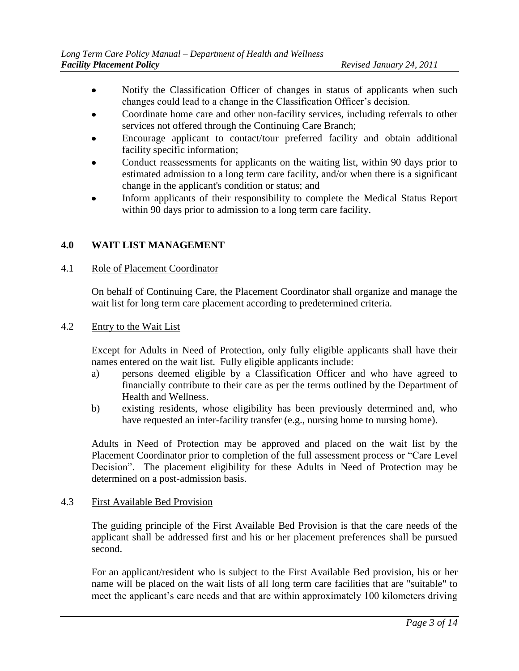- Notify the Classification Officer of changes in status of applicants when such  $\bullet$ changes could lead to a change in the Classification Officer's decision.
- Coordinate home care and other non-facility services, including referrals to other services not offered through the Continuing Care Branch;
- Encourage applicant to contact/tour preferred facility and obtain additional facility specific information;
- Conduct reassessments for applicants on the waiting list, within 90 days prior to  $\bullet$ estimated admission to a long term care facility, and/or when there is a significant change in the applicant's condition or status; and
- Inform applicants of their responsibility to complete the Medical Status Report  $\bullet$ within 90 days prior to admission to a long term care facility.

### **4.0 WAIT LIST MANAGEMENT**

### 4.1 Role of Placement Coordinator

On behalf of Continuing Care, the Placement Coordinator shall organize and manage the wait list for long term care placement according to predetermined criteria.

### 4.2 Entry to the Wait List

Except for Adults in Need of Protection, only fully eligible applicants shall have their names entered on the wait list. Fully eligible applicants include:

- a) persons deemed eligible by a Classification Officer and who have agreed to financially contribute to their care as per the terms outlined by the Department of Health and Wellness.
- b) existing residents, whose eligibility has been previously determined and, who have requested an inter-facility transfer (e.g., nursing home to nursing home).

Adults in Need of Protection may be approved and placed on the wait list by the Placement Coordinator prior to completion of the full assessment process or "Care Level Decision". The placement eligibility for these Adults in Need of Protection may be determined on a post-admission basis.

#### 4.3 First Available Bed Provision

The guiding principle of the First Available Bed Provision is that the care needs of the applicant shall be addressed first and his or her placement preferences shall be pursued second.

For an applicant/resident who is subject to the First Available Bed provision, his or her name will be placed on the wait lists of all long term care facilities that are "suitable" to meet the applicant's care needs and that are within approximately 100 kilometers driving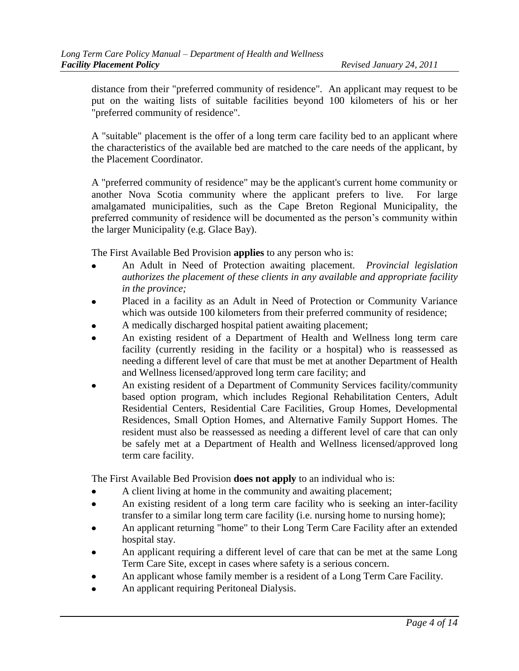distance from their "preferred community of residence". An applicant may request to be put on the waiting lists of suitable facilities beyond 100 kilometers of his or her "preferred community of residence".

A "suitable" placement is the offer of a long term care facility bed to an applicant where the characteristics of the available bed are matched to the care needs of the applicant, by the Placement Coordinator.

A "preferred community of residence" may be the applicant's current home community or another Nova Scotia community where the applicant prefers to live. For large amalgamated municipalities, such as the Cape Breton Regional Municipality, the preferred community of residence will be documented as the person's community within the larger Municipality (e.g. Glace Bay).

The First Available Bed Provision **applies** to any person who is:

- An Adult in Need of Protection awaiting placement. *Provincial legislation authorizes the placement of these clients in any available and appropriate facility in the province;*
- Placed in a facility as an Adult in Need of Protection or Community Variance  $\bullet$ which was outside 100 kilometers from their preferred community of residence;
- A medically discharged hospital patient awaiting placement;
- An existing resident of a Department of Health and Wellness long term care facility (currently residing in the facility or a hospital) who is reassessed as needing a different level of care that must be met at another Department of Health and Wellness licensed/approved long term care facility; and
- An existing resident of a Department of Community Services facility/community based option program, which includes Regional Rehabilitation Centers, Adult Residential Centers, Residential Care Facilities, Group Homes, Developmental Residences, Small Option Homes, and Alternative Family Support Homes. The resident must also be reassessed as needing a different level of care that can only be safely met at a Department of Health and Wellness licensed/approved long term care facility.

The First Available Bed Provision **does not apply** to an individual who is:

- A client living at home in the community and awaiting placement;
- An existing resident of a long term care facility who is seeking an inter-facility transfer to a similar long term care facility (i.e. nursing home to nursing home);
- An applicant returning "home" to their Long Term Care Facility after an extended hospital stay.
- An applicant requiring a different level of care that can be met at the same Long Term Care Site, except in cases where safety is a serious concern.
- An applicant whose family member is a resident of a Long Term Care Facility.
- An applicant requiring Peritoneal Dialysis.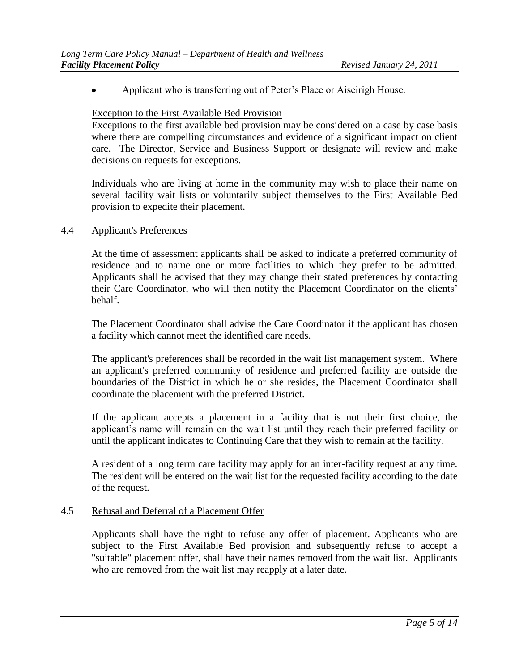Applicant who is transferring out of Peter's Place or Aiseirigh House.

#### Exception to the First Available Bed Provision

Exceptions to the first available bed provision may be considered on a case by case basis where there are compelling circumstances and evidence of a significant impact on client care. The Director, Service and Business Support or designate will review and make decisions on requests for exceptions.

Individuals who are living at home in the community may wish to place their name on several facility wait lists or voluntarily subject themselves to the First Available Bed provision to expedite their placement.

#### 4.4 Applicant's Preferences

At the time of assessment applicants shall be asked to indicate a preferred community of residence and to name one or more facilities to which they prefer to be admitted. Applicants shall be advised that they may change their stated preferences by contacting their Care Coordinator, who will then notify the Placement Coordinator on the clients' behalf.

The Placement Coordinator shall advise the Care Coordinator if the applicant has chosen a facility which cannot meet the identified care needs.

The applicant's preferences shall be recorded in the wait list management system. Where an applicant's preferred community of residence and preferred facility are outside the boundaries of the District in which he or she resides, the Placement Coordinator shall coordinate the placement with the preferred District.

If the applicant accepts a placement in a facility that is not their first choice, the applicant's name will remain on the wait list until they reach their preferred facility or until the applicant indicates to Continuing Care that they wish to remain at the facility.

A resident of a long term care facility may apply for an inter-facility request at any time. The resident will be entered on the wait list for the requested facility according to the date of the request.

#### 4.5 Refusal and Deferral of a Placement Offer

Applicants shall have the right to refuse any offer of placement. Applicants who are subject to the First Available Bed provision and subsequently refuse to accept a "suitable" placement offer, shall have their names removed from the wait list. Applicants who are removed from the wait list may reapply at a later date.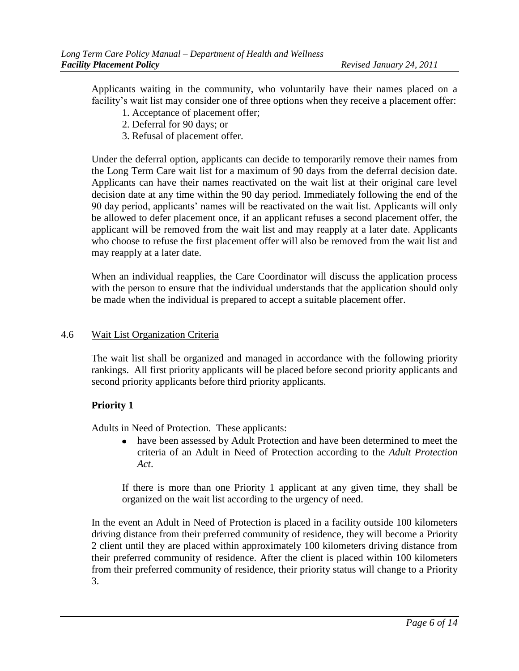Applicants waiting in the community, who voluntarily have their names placed on a facility's wait list may consider one of three options when they receive a placement offer:

- 1. Acceptance of placement offer;
- 2. Deferral for 90 days; or
- 3. Refusal of placement offer.

Under the deferral option, applicants can decide to temporarily remove their names from the Long Term Care wait list for a maximum of 90 days from the deferral decision date. Applicants can have their names reactivated on the wait list at their original care level decision date at any time within the 90 day period. Immediately following the end of the 90 day period, applicants' names will be reactivated on the wait list. Applicants will only be allowed to defer placement once, if an applicant refuses a second placement offer, the applicant will be removed from the wait list and may reapply at a later date. Applicants who choose to refuse the first placement offer will also be removed from the wait list and may reapply at a later date.

When an individual reapplies, the Care Coordinator will discuss the application process with the person to ensure that the individual understands that the application should only be made when the individual is prepared to accept a suitable placement offer.

#### 4.6 Wait List Organization Criteria

The wait list shall be organized and managed in accordance with the following priority rankings. All first priority applicants will be placed before second priority applicants and second priority applicants before third priority applicants.

### **Priority 1**

Adults in Need of Protection. These applicants:

have been assessed by Adult Protection and have been determined to meet the  $\bullet$ criteria of an Adult in Need of Protection according to the *Adult Protection Act*.

If there is more than one Priority 1 applicant at any given time, they shall be organized on the wait list according to the urgency of need.

In the event an Adult in Need of Protection is placed in a facility outside 100 kilometers driving distance from their preferred community of residence, they will become a Priority 2 client until they are placed within approximately 100 kilometers driving distance from their preferred community of residence. After the client is placed within 100 kilometers from their preferred community of residence, their priority status will change to a Priority 3.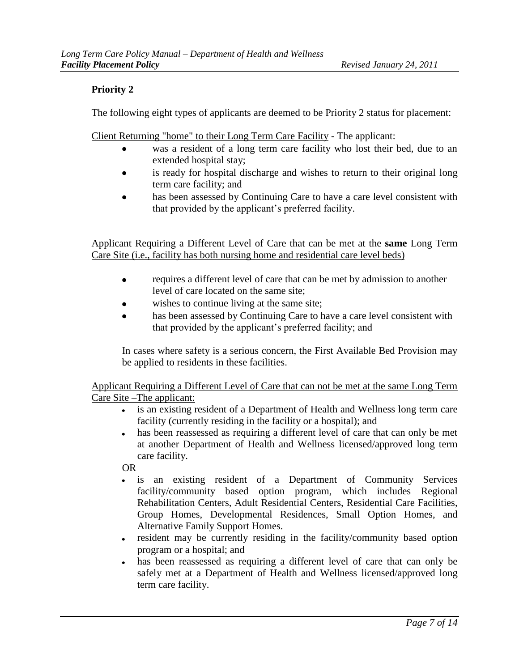# **Priority 2**

The following eight types of applicants are deemed to be Priority 2 status for placement:

Client Returning "home" to their Long Term Care Facility - The applicant:

- was a resident of a long term care facility who lost their bed, due to an extended hospital stay;
- is ready for hospital discharge and wishes to return to their original long  $\bullet$ term care facility; and
- has been assessed by Continuing Care to have a care level consistent with that provided by the applicant's preferred facility.

Applicant Requiring a Different Level of Care that can be met at the **same** Long Term Care Site (i.e., facility has both nursing home and residential care level beds)

- requires a different level of care that can be met by admission to another  $\bullet$ level of care located on the same site;
- wishes to continue living at the same site;
- has been assessed by Continuing Care to have a care level consistent with that provided by the applicant's preferred facility; and

In cases where safety is a serious concern, the First Available Bed Provision may be applied to residents in these facilities.

Applicant Requiring a Different Level of Care that can not be met at the same Long Term Care Site –The applicant:

- is an existing resident of a Department of Health and Wellness long term care facility (currently residing in the facility or a hospital); and
- $\bullet$ has been reassessed as requiring a different level of care that can only be met at another Department of Health and Wellness licensed/approved long term care facility.

OR

- $\bullet$ is an existing resident of a Department of Community Services facility/community based option program, which includes Regional Rehabilitation Centers, Adult Residential Centers, Residential Care Facilities, Group Homes, Developmental Residences, Small Option Homes, and Alternative Family Support Homes.
- resident may be currently residing in the facility/community based option  $\bullet$ program or a hospital; and
- has been reassessed as requiring a different level of care that can only be  $\bullet$ safely met at a Department of Health and Wellness licensed/approved long term care facility.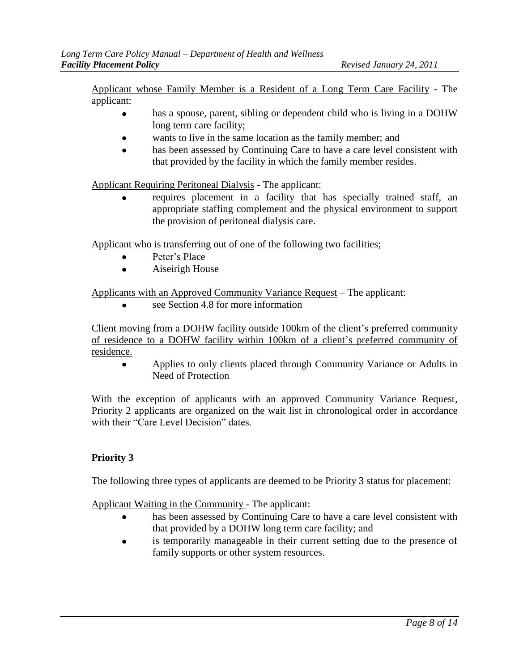Applicant whose Family Member is a Resident of a Long Term Care Facility - The applicant:

- has a spouse, parent, sibling or dependent child who is living in a DOHW long term care facility;
- wants to live in the same location as the family member; and
- has been assessed by Continuing Care to have a care level consistent with that provided by the facility in which the family member resides.

Applicant Requiring Peritoneal Dialysis - The applicant:

requires placement in a facility that has specially trained staff, an appropriate staffing complement and the physical environment to support the provision of peritoneal dialysis care.

Applicant who is transferring out of one of the following two facilities;

- Peter's Place
- Aiseirigh House

Applicants with an Approved Community Variance Request – The applicant:

see Section 4.8 for more information

Client moving from a DOHW facility outside 100km of the client's preferred community of residence to a DOHW facility within 100km of a client's preferred community of residence.

Applies to only clients placed through Community Variance or Adults in  $\bullet$ Need of Protection

With the exception of applicants with an approved Community Variance Request, Priority 2 applicants are organized on the wait list in chronological order in accordance with their "Care Level Decision" dates.

### **Priority 3**

The following three types of applicants are deemed to be Priority 3 status for placement:

Applicant Waiting in the Community - The applicant:

- has been assessed by Continuing Care to have a care level consistent with  $\bullet$ that provided by a DOHW long term care facility; and
- is temporarily manageable in their current setting due to the presence of family supports or other system resources.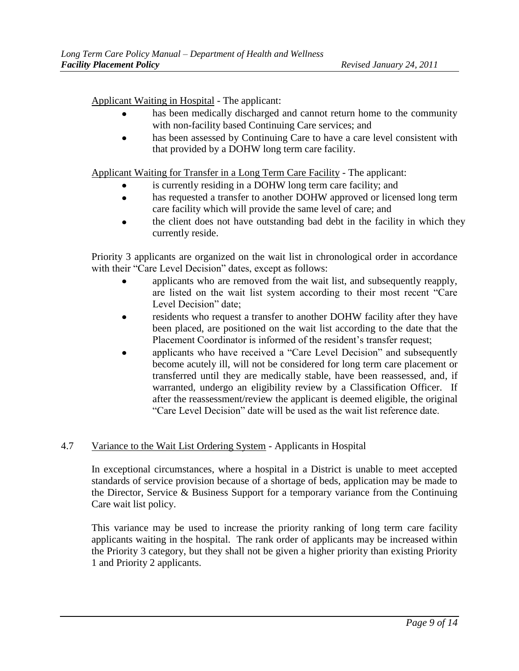Applicant Waiting in Hospital - The applicant:

- has been medically discharged and cannot return home to the community with non-facility based Continuing Care services; and
- has been assessed by Continuing Care to have a care level consistent with that provided by a DOHW long term care facility.

Applicant Waiting for Transfer in a Long Term Care Facility - The applicant:

- is currently residing in a DOHW long term care facility; and
- has requested a transfer to another DOHW approved or licensed long term  $\bullet$ care facility which will provide the same level of care; and
- the client does not have outstanding bad debt in the facility in which they currently reside.

Priority 3 applicants are organized on the wait list in chronological order in accordance with their "Care Level Decision" dates, except as follows:

- applicants who are removed from the wait list, and subsequently reapply, are listed on the wait list system according to their most recent "Care Level Decision" date;
- residents who request a transfer to another DOHW facility after they have been placed, are positioned on the wait list according to the date that the Placement Coordinator is informed of the resident's transfer request;
- applicants who have received a "Care Level Decision" and subsequently become acutely ill, will not be considered for long term care placement or transferred until they are medically stable, have been reassessed, and, if warranted, undergo an eligibility review by a Classification Officer. If after the reassessment/review the applicant is deemed eligible, the original "Care Level Decision" date will be used as the wait list reference date.

# 4.7 Variance to the Wait List Ordering System - Applicants in Hospital

In exceptional circumstances, where a hospital in a District is unable to meet accepted standards of service provision because of a shortage of beds, application may be made to the Director, Service & Business Support for a temporary variance from the Continuing Care wait list policy.

This variance may be used to increase the priority ranking of long term care facility applicants waiting in the hospital. The rank order of applicants may be increased within the Priority 3 category, but they shall not be given a higher priority than existing Priority 1 and Priority 2 applicants.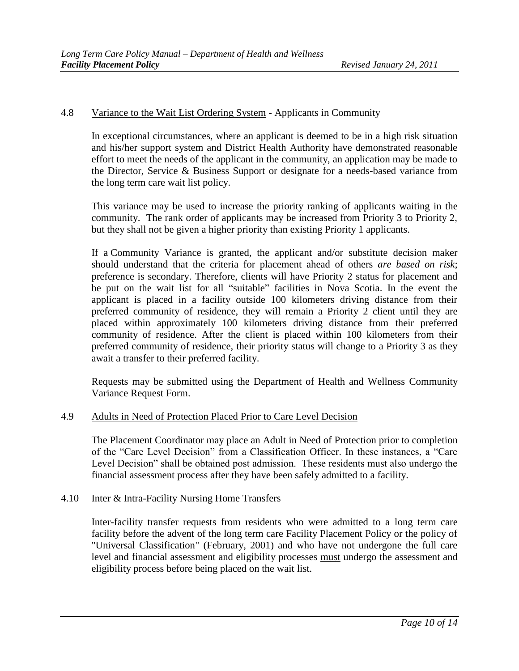### 4.8 Variance to the Wait List Ordering System - Applicants in Community

In exceptional circumstances, where an applicant is deemed to be in a high risk situation and his/her support system and District Health Authority have demonstrated reasonable effort to meet the needs of the applicant in the community, an application may be made to the Director, Service & Business Support or designate for a needs-based variance from the long term care wait list policy.

This variance may be used to increase the priority ranking of applicants waiting in the community. The rank order of applicants may be increased from Priority 3 to Priority 2, but they shall not be given a higher priority than existing Priority 1 applicants.

If a Community Variance is granted, the applicant and/or substitute decision maker should understand that the criteria for placement ahead of others *are based on risk*; preference is secondary. Therefore, clients will have Priority 2 status for placement and be put on the wait list for all "suitable" facilities in Nova Scotia. In the event the applicant is placed in a facility outside 100 kilometers driving distance from their preferred community of residence, they will remain a Priority 2 client until they are placed within approximately 100 kilometers driving distance from their preferred community of residence. After the client is placed within 100 kilometers from their preferred community of residence, their priority status will change to a Priority 3 as they await a transfer to their preferred facility.

Requests may be submitted using the Department of Health and Wellness Community Variance Request Form.

#### 4.9 Adults in Need of Protection Placed Prior to Care Level Decision

The Placement Coordinator may place an Adult in Need of Protection prior to completion of the "Care Level Decision" from a Classification Officer. In these instances, a "Care Level Decision" shall be obtained post admission. These residents must also undergo the financial assessment process after they have been safely admitted to a facility.

#### 4.10 Inter & Intra-Facility Nursing Home Transfers

Inter-facility transfer requests from residents who were admitted to a long term care facility before the advent of the long term care Facility Placement Policy or the policy of "Universal Classification" (February, 2001) and who have not undergone the full care level and financial assessment and eligibility processes must undergo the assessment and eligibility process before being placed on the wait list.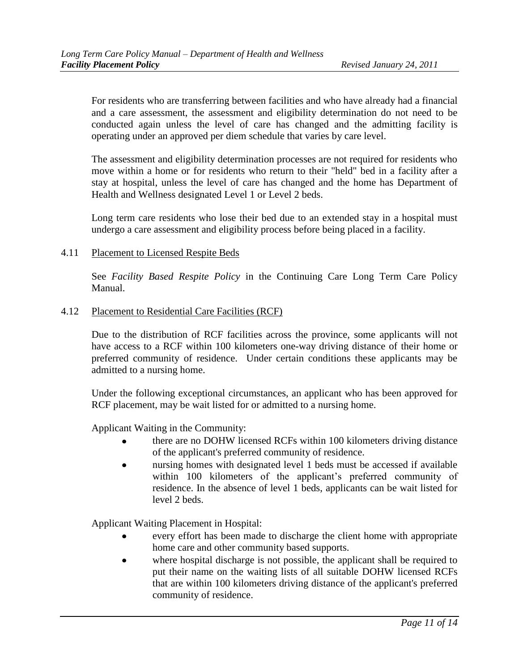For residents who are transferring between facilities and who have already had a financial and a care assessment, the assessment and eligibility determination do not need to be conducted again unless the level of care has changed and the admitting facility is operating under an approved per diem schedule that varies by care level.

The assessment and eligibility determination processes are not required for residents who move within a home or for residents who return to their "held" bed in a facility after a stay at hospital, unless the level of care has changed and the home has Department of Health and Wellness designated Level 1 or Level 2 beds.

Long term care residents who lose their bed due to an extended stay in a hospital must undergo a care assessment and eligibility process before being placed in a facility.

#### 4.11 Placement to Licensed Respite Beds

See *Facility Based Respite Policy* in the Continuing Care Long Term Care Policy Manual.

#### 4.12 Placement to Residential Care Facilities (RCF)

Due to the distribution of RCF facilities across the province, some applicants will not have access to a RCF within 100 kilometers one-way driving distance of their home or preferred community of residence. Under certain conditions these applicants may be admitted to a nursing home.

Under the following exceptional circumstances, an applicant who has been approved for RCF placement, may be wait listed for or admitted to a nursing home.

Applicant Waiting in the Community:

- there are no DOHW licensed RCFs within 100 kilometers driving distance of the applicant's preferred community of residence.
- nursing homes with designated level 1 beds must be accessed if available within 100 kilometers of the applicant's preferred community of residence. In the absence of level 1 beds, applicants can be wait listed for level 2 beds.

Applicant Waiting Placement in Hospital:

- every effort has been made to discharge the client home with appropriate home care and other community based supports.
- where hospital discharge is not possible, the applicant shall be required to put their name on the waiting lists of all suitable DOHW licensed RCFs that are within 100 kilometers driving distance of the applicant's preferred community of residence.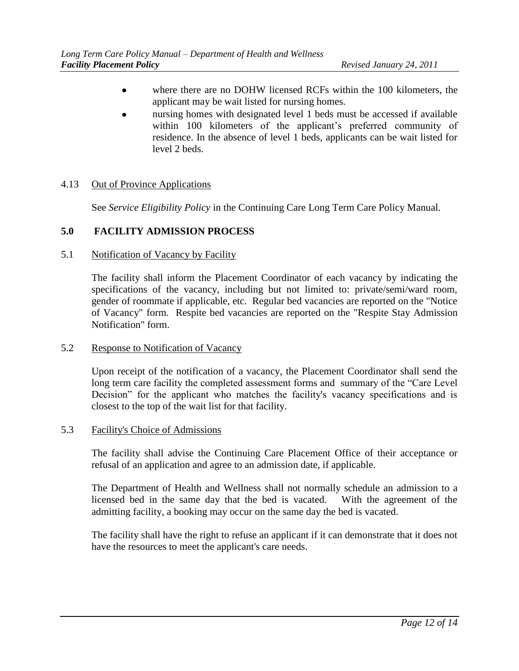- where there are no DOHW licensed RCFs within the 100 kilometers, the applicant may be wait listed for nursing homes.
- nursing homes with designated level 1 beds must be accessed if available within 100 kilometers of the applicant's preferred community of residence. In the absence of level 1 beds, applicants can be wait listed for level 2 beds.

### 4.13 Out of Province Applications

See *Service Eligibility Policy* in the Continuing Care Long Term Care Policy Manual.

### **5.0 FACILITY ADMISSION PROCESS**

#### 5.1 Notification of Vacancy by Facility

The facility shall inform the Placement Coordinator of each vacancy by indicating the specifications of the vacancy, including but not limited to: private/semi/ward room, gender of roommate if applicable, etc. Regular bed vacancies are reported on the "Notice of Vacancy" form. Respite bed vacancies are reported on the "Respite Stay Admission Notification" form.

#### 5.2 Response to Notification of Vacancy

Upon receipt of the notification of a vacancy, the Placement Coordinator shall send the long term care facility the completed assessment forms and summary of the "Care Level Decision" for the applicant who matches the facility's vacancy specifications and is closest to the top of the wait list for that facility.

#### 5.3 Facility's Choice of Admissions

The facility shall advise the Continuing Care Placement Office of their acceptance or refusal of an application and agree to an admission date, if applicable.

The Department of Health and Wellness shall not normally schedule an admission to a licensed bed in the same day that the bed is vacated. With the agreement of the admitting facility, a booking may occur on the same day the bed is vacated.

The facility shall have the right to refuse an applicant if it can demonstrate that it does not have the resources to meet the applicant's care needs.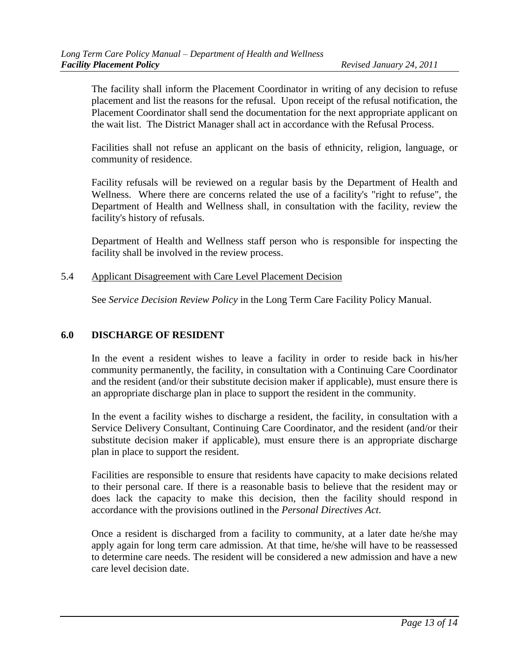The facility shall inform the Placement Coordinator in writing of any decision to refuse placement and list the reasons for the refusal. Upon receipt of the refusal notification, the Placement Coordinator shall send the documentation for the next appropriate applicant on the wait list. The District Manager shall act in accordance with the Refusal Process.

Facilities shall not refuse an applicant on the basis of ethnicity, religion, language, or community of residence.

Facility refusals will be reviewed on a regular basis by the Department of Health and Wellness. Where there are concerns related the use of a facility's "right to refuse", the Department of Health and Wellness shall, in consultation with the facility, review the facility's history of refusals.

Department of Health and Wellness staff person who is responsible for inspecting the facility shall be involved in the review process.

#### 5.4 Applicant Disagreement with Care Level Placement Decision

See *Service Decision Review Policy* in the Long Term Care Facility Policy Manual.

### **6.0 DISCHARGE OF RESIDENT**

In the event a resident wishes to leave a facility in order to reside back in his/her community permanently, the facility, in consultation with a Continuing Care Coordinator and the resident (and/or their substitute decision maker if applicable), must ensure there is an appropriate discharge plan in place to support the resident in the community.

In the event a facility wishes to discharge a resident, the facility, in consultation with a Service Delivery Consultant, Continuing Care Coordinator, and the resident (and/or their substitute decision maker if applicable), must ensure there is an appropriate discharge plan in place to support the resident.

Facilities are responsible to ensure that residents have capacity to make decisions related to their personal care. If there is a reasonable basis to believe that the resident may or does lack the capacity to make this decision, then the facility should respond in accordance with the provisions outlined in the *Personal Directives Act*.

Once a resident is discharged from a facility to community, at a later date he/she may apply again for long term care admission. At that time, he/she will have to be reassessed to determine care needs. The resident will be considered a new admission and have a new care level decision date.